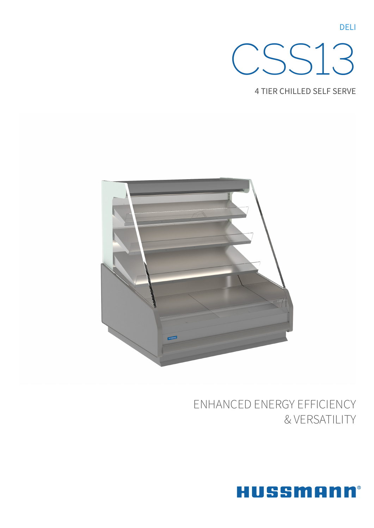

**4 TIER CHILLED SELF SERVE** 



# ENHANCED ENERGY EFFICIENCY & VERSATILITY



**DELI**